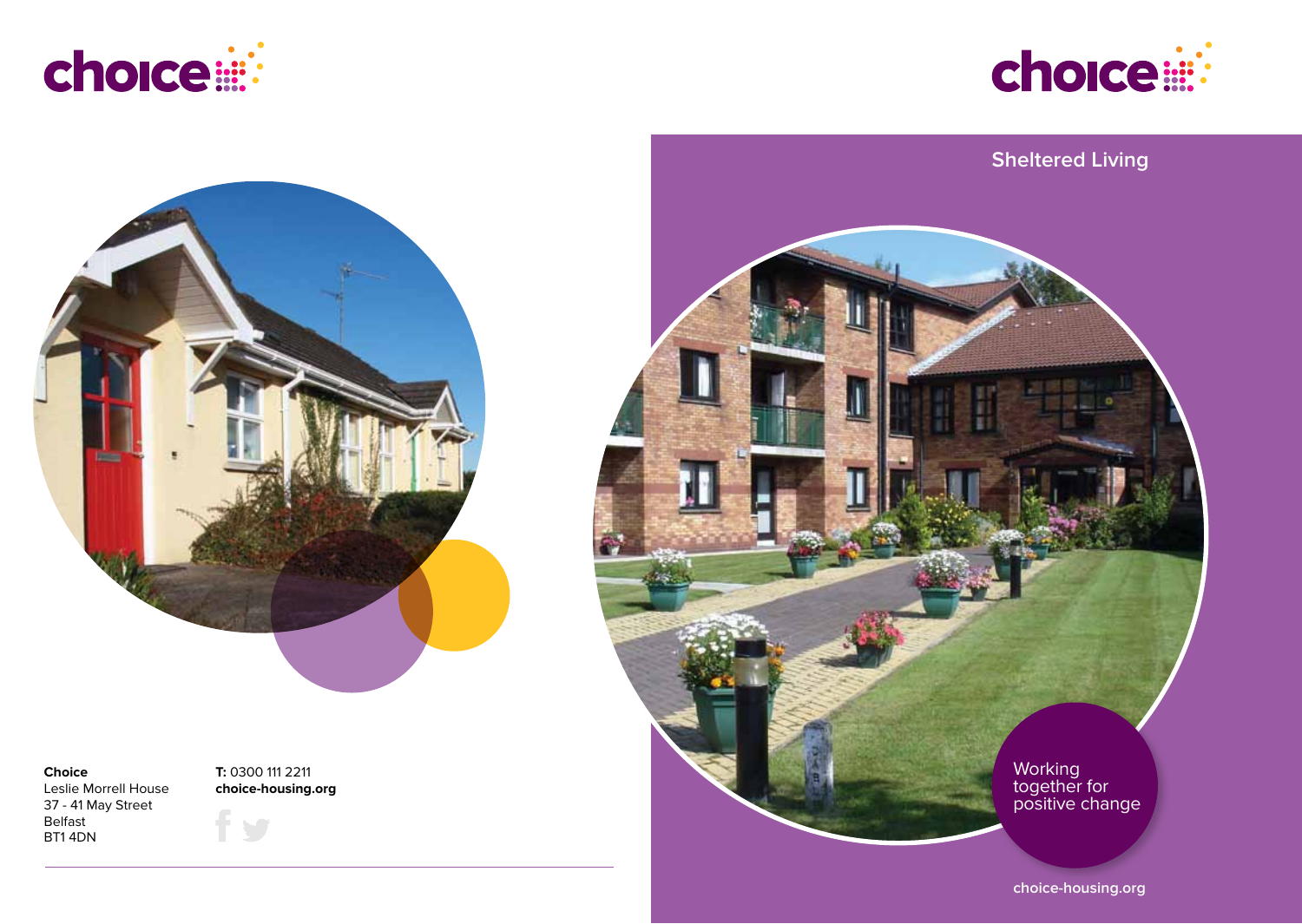





## **Choice**

Leslie Morrell House 37 - 41 May Street Belfast BT1 4DN

**T:** 0300 111 2211 **choice-housing.org**



**choice-housing.org**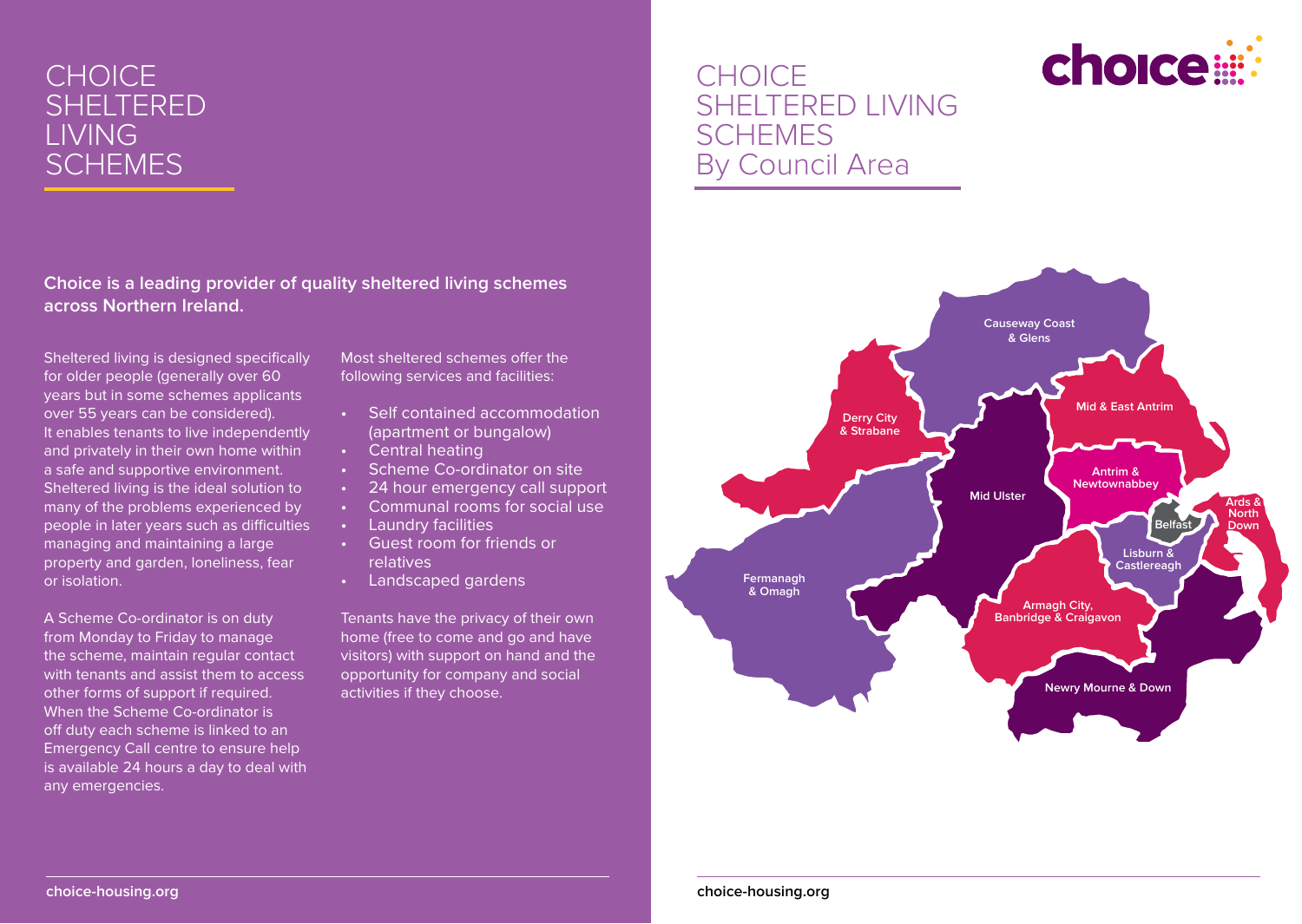# **CHOICE** SHELTERED LIVING **SCHEMES**

**Choice is a leading provider of quality sheltered living schemes across Northern Ireland.**

Sheltered living is designed specifically for older people (generally over 60 years but in some schemes applicants over 55 years can be considered). It enables tenants to live independently and privately in their own home within a safe and supportive environment. Sheltered living is the ideal solution to many of the problems experienced by people in later years such as difficulties managing and maintaining a large property and garden, loneliness, fear or isolation.

A Scheme Co-ordinator is on duty from Monday to Friday to manage the scheme, maintain regular contact with tenants and assist them to access other forms of support if required. When the Scheme Co-ordinator is off duty each scheme is linked to an Emergency Call centre to ensure help is available 24 hours a day to deal with any emergencies.

Most sheltered schemes offer the following services and facilities:

- Self contained accommodation (apartment or bungalow)
- • Central heating
- Scheme Co-ordinator on site
- • 24 hour emergency call support
- Communal rooms for social use
- • Laundry facilities
- Guest room for friends or relatives
- Landscaped gardens

Tenants have the privacy of their own home (free to come and go and have visitors) with support on hand and the opportunity for company and social activities if they choose.

# **CHOICE** SHELTERED LIVING **SCHEMES** By Council Area



choice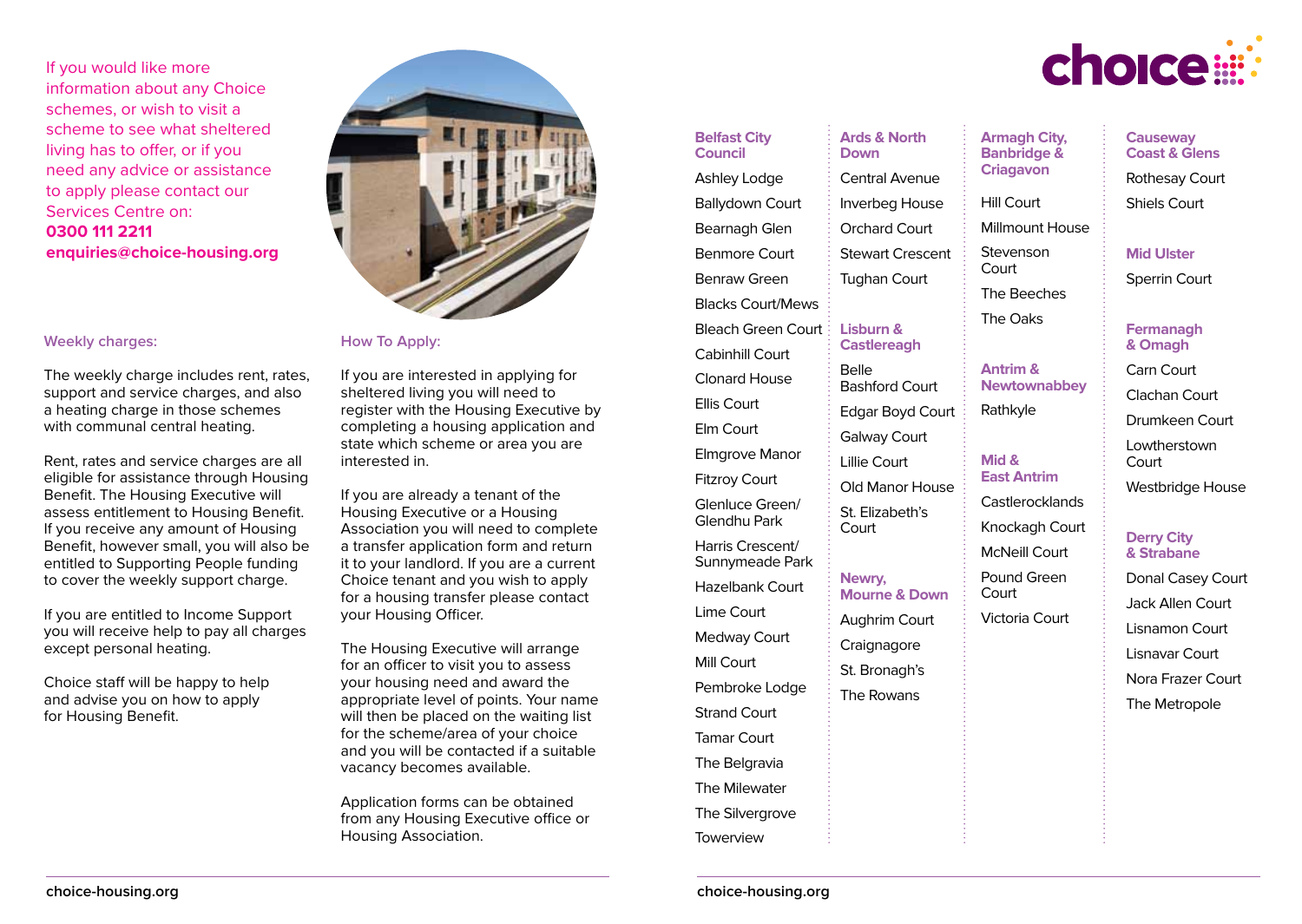If you would like more information about any Choice schemes, or wish to visit a scheme to see what sheltered living has to offer, or if you need any advice or assistance to apply please contact our Services Centre on: **0300 111 2211 enquiries@choice-housing.org**

## **Weekly charges:**

The weekly charge includes rent, rates, support and service charges, and also a heating charge in those schemes with communal central heating.

Rent, rates and service charges are all eligible for assistance through Housing Benefit. The Housing Executive will assess entitlement to Housing Benefit. If you receive any amount of Housing Benefit, however small, you will also be entitled to Supporting People funding to cover the weekly support charge.

If you are entitled to Income Support you will receive help to pay all charges except personal heating.

Choice staff will be happy to help and advise you on how to apply for Housing Benefit.



**How To Apply:**

If you are interested in applying for sheltered living you will need to register with the Housing Executive by completing a housing application and state which scheme or area you are interested in.

If you are already a tenant of the Housing Executive or a Housing Association you will need to complete a transfer application form and return it to your landlord. If you are a current Choice tenant and you wish to apply for a housing transfer please contact your Housing Officer.

The Housing Executive will arrange for an officer to visit you to assess your housing need and award the appropriate level of points. Your name will then be placed on the waiting list for the scheme/area of your choice and you will be contacted if a suitable vacancy becomes available.

Application forms can be obtained from any Housing Executive office or Housing Association.

**Belfast City Council** Ashley Lodge Ballydown Court Bearnagh Glen Benmore Court Benraw Green Blacks Court/Mews Bleach Green Court Cabinhill Court Clonard House Ellis Court Elm Court Elmgrove Manor Fitzroy Court Glenluce Green/ Glendhu Park Harris Crescent/ Sunnymeade Park Hazelbank Court Lime Court Medway Court Mill Court Pembroke Lodge Strand Court Tamar Court **The Belgravia** The Milewater The Silvergrove

**Ards & North Down** Central Avenue Inverbeg House **Armagh City, Banbridge & Criagavon** Hill Court Millmount House

> Stevenson **Court**

**Antrim & Newtownabbey**

Rathkyle

**Mid & East Antrim** Castlerocklands Knockagh Court McNeill Court Pound Green **Court** 

Victoria Court

The Beeches The Oaks

Orchard Court Stewart Crescent Tughan Court

## **Lisburn & Castlereagh**

Belle Bashford Court Edgar Boyd Court Galway Court Lillie Court Old Manor House St. Elizabeth's Court

#### **Newry, Mourne & Down**

Aughrim Court **Craignagore** St. Bronagh's The Rowans

choice:

**Causeway Coast & Glens** Rothesay Court Shiels Court

**Mid Ulster** Sperrin Court

#### **Fermanagh & Omagh**

Carn Court Clachan Court Drumkeen Court Lowtherstown **Court** Westbridge House

#### **Derry City & Strabane**

Donal Casey Court Jack Allen Court Lisnamon Court Lisnavar Court Nora Frazer Court The Metropole

Towerview